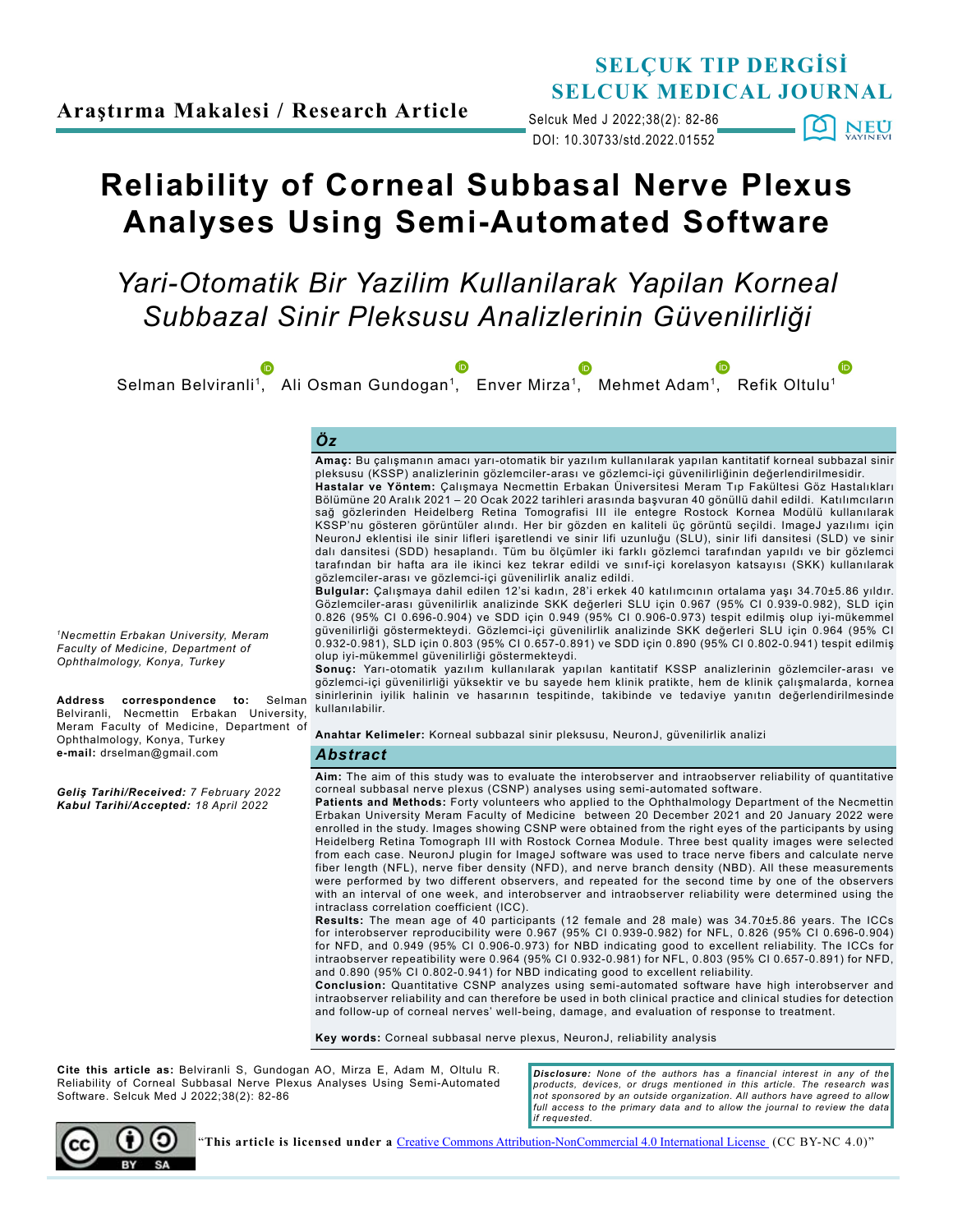# **SELÇUK TIP DERGİSİ SELCUK MEDICAL JOURNAL**

DOI: 10.30733/std.2022.01552 Selcuk Med J 2022;38(2): 82-86 **[0] NEU** 

# **Reliability of Corneal Subbasal Nerve Plexus Analyses Using Semi-Automated Software**

*Yari-Otomatik Bir Yazilim Kullanilarak Yapilan Korneal Subbazal Sinir Pleksusu Analizlerinin Güvenilirliği*



**Cite this article as:** Belviranli S, Gundogan AO, Mirza E, Adam M, Oltulu R. Reliability of Corneal Subbasal Nerve Plexus Analyses Using Semi-Automated Software. Selcuk Med J 2022;38(2): 82-86

*Disclosure: None of the authors has a financial interest in any of the products, devices, or drugs mentioned in this article. The research was not sponsored by an outside organization. All authors have agreed to allow*  full access to the primary data and to allow the journal to review the data *if requested.*

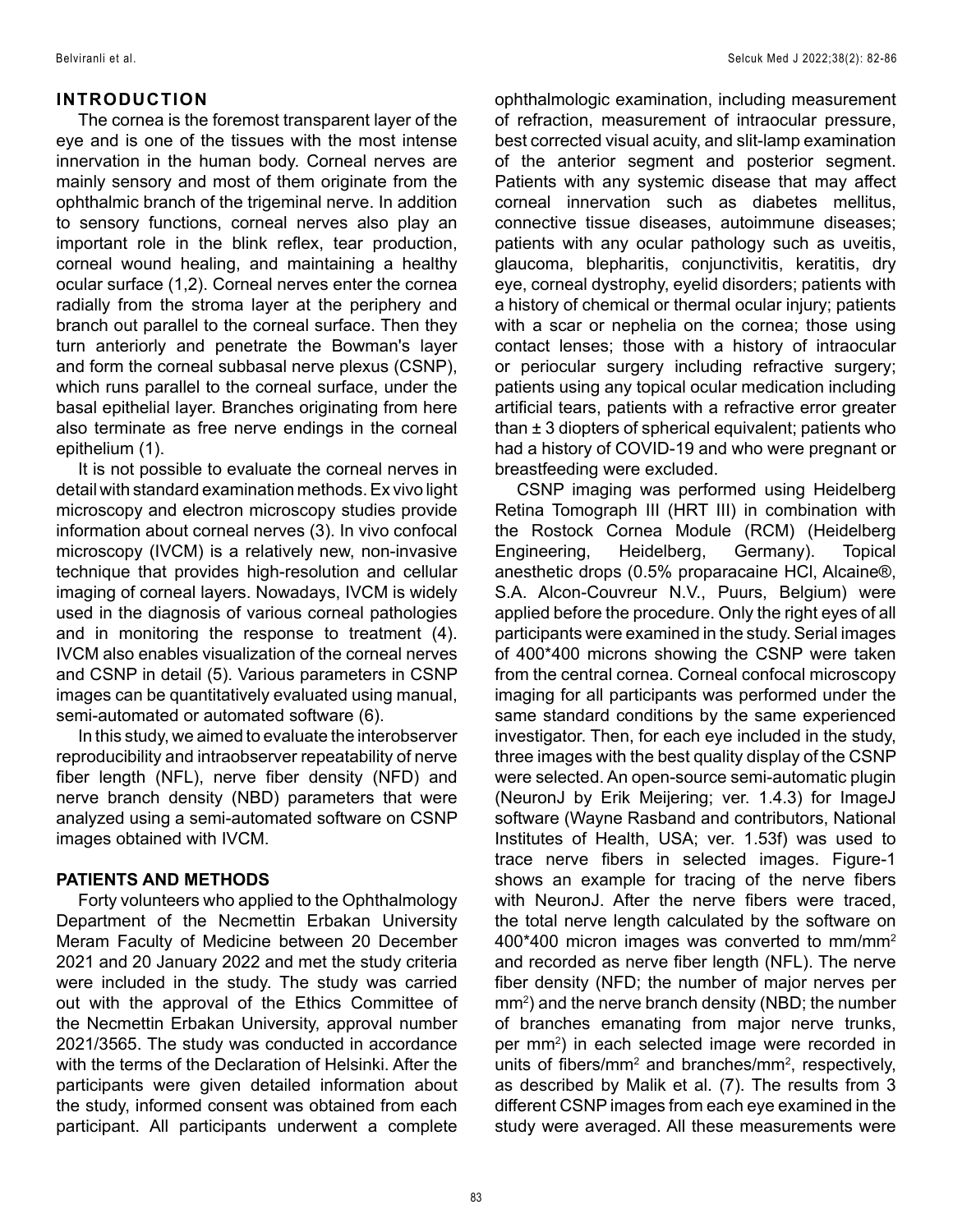## **INTRODUCTION**

The cornea is the foremost transparent layer of the eye and is one of the tissues with the most intense innervation in the human body. Corneal nerves are mainly sensory and most of them originate from the ophthalmic branch of the trigeminal nerve. In addition to sensory functions, corneal nerves also play an important role in the blink reflex, tear production, corneal wound healing, and maintaining a healthy ocular surface (1,2). Corneal nerves enter the cornea radially from the stroma layer at the periphery and branch out parallel to the corneal surface. Then they turn anteriorly and penetrate the Bowman's layer and form the corneal subbasal nerve plexus (CSNP), which runs parallel to the corneal surface, under the basal epithelial layer. Branches originating from here also terminate as free nerve endings in the corneal epithelium (1).

It is not possible to evaluate the corneal nerves in detail with standard examination methods. Ex vivo light microscopy and electron microscopy studies provide information about corneal nerves (3). In vivo confocal microscopy (IVCM) is a relatively new, non-invasive technique that provides high-resolution and cellular imaging of corneal layers. Nowadays, IVCM is widely used in the diagnosis of various corneal pathologies and in monitoring the response to treatment (4). IVCM also enables visualization of the corneal nerves and CSNP in detail (5). Various parameters in CSNP images can be quantitatively evaluated using manual, semi-automated or automated software (6).

In this study, we aimed to evaluate the interobserver reproducibility and intraobserver repeatability of nerve fiber length (NFL), nerve fiber density (NFD) and nerve branch density (NBD) parameters that were analyzed using a semi-automated software on CSNP images obtained with IVCM.

#### **PATIENTS AND METHODS**

Forty volunteers who applied to the Ophthalmology Department of the Necmettin Erbakan University Meram Faculty of Medicine between 20 December 2021 and 20 January 2022 and met the study criteria were included in the study. The study was carried out with the approval of the Ethics Committee of the Necmettin Erbakan University, approval number 2021/3565. The study was conducted in accordance with the terms of the Declaration of Helsinki. After the participants were given detailed information about the study, informed consent was obtained from each participant. All participants underwent a complete

ophthalmologic examination, including measurement of refraction, measurement of intraocular pressure, best corrected visual acuity, and slit-lamp examination of the anterior segment and posterior segment. Patients with any systemic disease that may affect corneal innervation such as diabetes mellitus, connective tissue diseases, autoimmune diseases; patients with any ocular pathology such as uveitis, glaucoma, blepharitis, conjunctivitis, keratitis, dry eye, corneal dystrophy, eyelid disorders; patients with a history of chemical or thermal ocular injury; patients with a scar or nephelia on the cornea; those using contact lenses; those with a history of intraocular or periocular surgery including refractive surgery; patients using any topical ocular medication including artificial tears, patients with a refractive error greater than  $\pm$  3 diopters of spherical equivalent; patients who had a history of COVID-19 and who were pregnant or breastfeeding were excluded.

CSNP imaging was performed using Heidelberg Retina Tomograph III (HRT III) in combination with the Rostock Cornea Module (RCM) (Heidelberg Engineering, Heidelberg, Germany). Topical anesthetic drops (0.5% proparacaine HCl, Alcaine®, S.A. Alcon-Couvreur N.V., Puurs, Belgium) were applied before the procedure. Only the right eyes of all participants were examined in the study. Serial images of 400\*400 microns showing the CSNP were taken from the central cornea. Corneal confocal microscopy imaging for all participants was performed under the same standard conditions by the same experienced investigator. Then, for each eye included in the study, three images with the best quality display of the CSNP were selected. An open-source semi-automatic plugin (NeuronJ by Erik Meijering; ver. 1.4.3) for ImageJ software (Wayne Rasband and contributors, National Institutes of Health, USA; ver. 1.53f) was used to trace nerve fibers in selected images. Figure-1 shows an example for tracing of the nerve fibers with NeuronJ. After the nerve fibers were traced, the total nerve length calculated by the software on 400\*400 micron images was converted to mm/mm<sup>2</sup> and recorded as nerve fiber length (NFL). The nerve fiber density (NFD; the number of major nerves per mm2 ) and the nerve branch density (NBD; the number of branches emanating from major nerve trunks, per mm<sup>2</sup>) in each selected image were recorded in units of fibers/mm<sup>2</sup> and branches/mm<sup>2</sup>, respectively, as described by Malik et al. (7). The results from 3 different CSNP images from each eye examined in the study were averaged. All these measurements were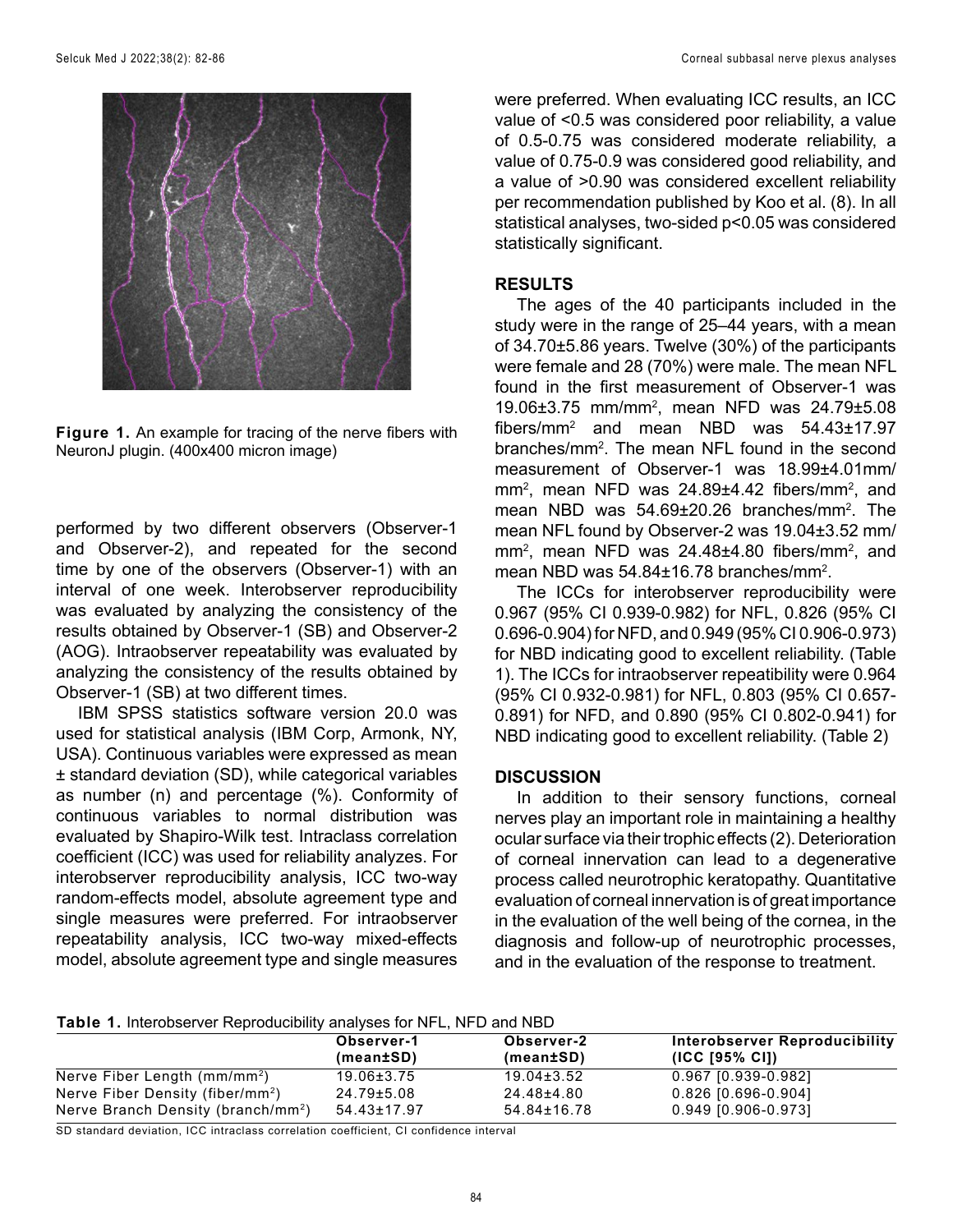

**Figure 1.** An example for tracing of the nerve fibers with NeuronJ plugin. (400x400 micron image)

performed by two different observers (Observer-1 and Observer-2), and repeated for the second time by one of the observers (Observer-1) with an interval of one week. Interobserver reproducibility was evaluated by analyzing the consistency of the results obtained by Observer-1 (SB) and Observer-2 (AOG). Intraobserver repeatability was evaluated by analyzing the consistency of the results obtained by Observer-1 (SB) at two different times.

IBM SPSS statistics software version 20.0 was used for statistical analysis (IBM Corp, Armonk, NY, USA). Continuous variables were expressed as mean ± standard deviation (SD), while categorical variables as number (n) and percentage (%). Conformity of continuous variables to normal distribution was evaluated by Shapiro-Wilk test. Intraclass correlation coefficient (ICC) was used for reliability analyzes. For interobserver reproducibility analysis, ICC two-way random-effects model, absolute agreement type and single measures were preferred. For intraobserver repeatability analysis, ICC two-way mixed-effects model, absolute agreement type and single measures

were preferred. When evaluating ICC results, an ICC value of <0.5 was considered poor reliability, a value of 0.5-0.75 was considered moderate reliability, a value of 0.75-0.9 was considered good reliability, and a value of >0.90 was considered excellent reliability per recommendation published by Koo et al. (8). In all statistical analyses, two-sided p<0.05 was considered statistically significant.

#### **RESULTS**

The ages of the 40 participants included in the study were in the range of 25–44 years, with a mean of 34.70±5.86 years. Twelve (30%) of the participants were female and 28 (70%) were male. The mean NFL found in the first measurement of Observer-1 was 19.06±3.75 mm/mm2 , mean NFD was 24.79±5.08 fibers/mm2 and mean NBD was 54.43±17.97 branches/mm2 . The mean NFL found in the second measurement of Observer-1 was 18.99±4.01mm/  $mm<sup>2</sup>$ , mean NFD was 24.89 $\pm$ 4.42 fibers/mm<sup>2</sup>, and mean NBD was 54.69±20.26 branches/mm<sup>2</sup>. The mean NFL found by Observer-2 was 19.04±3.52 mm/  $mm<sup>2</sup>$ , mean NFD was 24.48 $\pm$ 4.80 fibers/mm<sup>2</sup>, and mean NBD was 54.84±16.78 branches/mm<sup>2</sup>.

The ICCs for interobserver reproducibility were 0.967 (95% CI 0.939-0.982) for NFL, 0.826 (95% CI 0.696-0.904) for NFD, and 0.949 (95% CI 0.906-0.973) for NBD indicating good to excellent reliability. (Table 1). The ICCs for intraobserver repeatibility were 0.964 (95% CI 0.932-0.981) for NFL, 0.803 (95% CI 0.657- 0.891) for NFD, and 0.890 (95% CI 0.802-0.941) for NBD indicating good to excellent reliability. (Table 2)

## **DISCUSSION**

In addition to their sensory functions, corneal nerves play an important role in maintaining a healthy ocular surface via their trophic effects (2). Deterioration of corneal innervation can lead to a degenerative process called neurotrophic keratopathy. Quantitative evaluation of corneal innervation is of great importance in the evaluation of the well being of the cornea, in the diagnosis and follow-up of neurotrophic processes, and in the evaluation of the response to treatment.

**Table 1.** Interobserver Reproducibility analyses for NFL, NFD and NBD

|                                                | Observer-1<br>(mean±SD) | Observer-2<br>(mean±SD) | Interobserver Reproducibility<br>(ICC [95% CI]) |
|------------------------------------------------|-------------------------|-------------------------|-------------------------------------------------|
|                                                |                         |                         |                                                 |
| Nerve Fiber Length (mm/mm <sup>2</sup> )       | 19.06±3.75              | $19.04 \pm 3.52$        | 0.967 [0.939-0.982]                             |
| Nerve Fiber Density (fiber/mm <sup>2</sup> )   | 24.79±5.08              | 24.48±4.80              | $0.826$ [0.696-0.904]                           |
| Nerve Branch Density (branch/mm <sup>2</sup> ) | 54.43±17.97             | 54.84±16.78             | 0.949 [0.906-0.973]                             |

SD standard deviation, ICC intraclass correlation coefficient, CI confidence interval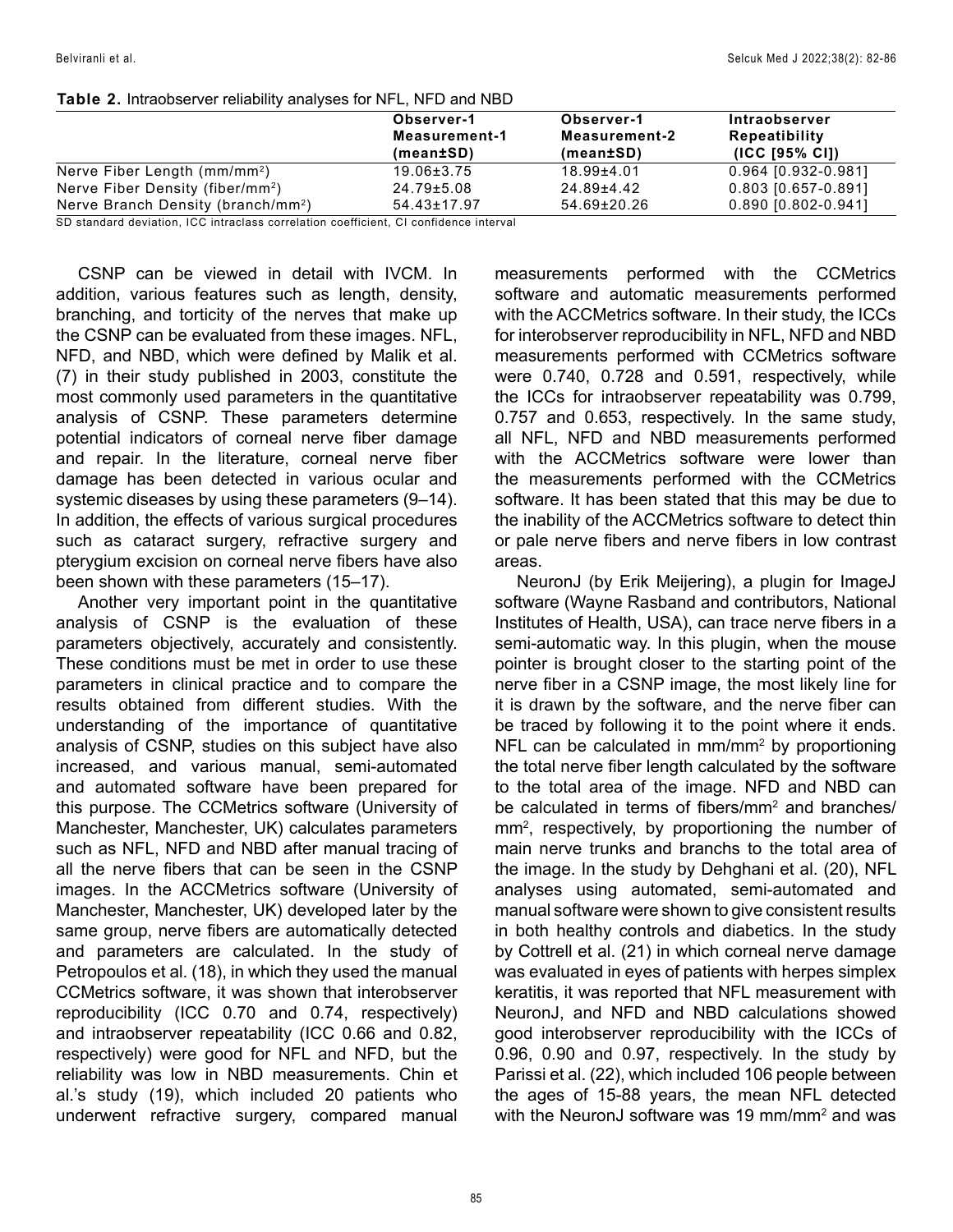|                                                | Observer-1<br>Measurement-1<br>(mean±SD) | Observer-1<br>Measurement-2<br>(mean±SD) | Intraobserver<br>Repeatibility<br>$(ICC$ [95% CI]) |
|------------------------------------------------|------------------------------------------|------------------------------------------|----------------------------------------------------|
| Nerve Fiber Length (mm/mm <sup>2</sup> )       | $19.06 \pm 3.75$                         | 18.99±4.01                               | 0.964 [0.932-0.981]                                |
| Nerve Fiber Density (fiber/mm <sup>2</sup> )   | $24.79 \pm 5.08$                         | 24.89±4.42                               | 0.803 [0.657-0.891]                                |
| Nerve Branch Density (branch/mm <sup>2</sup> ) | $54.43 \pm 17.97$                        | 54.69±20.26                              | 0.890 [0.802-0.941]                                |

#### **Table 2.** Intraobserver reliability analyses for NFL, NFD and NBD

SD standard deviation, ICC intraclass correlation coefficient, CI confidence interval

CSNP can be viewed in detail with IVCM. In addition, various features such as length, density, branching, and torticity of the nerves that make up the CSNP can be evaluated from these images. NFL, NFD, and NBD, which were defined by Malik et al. (7) in their study published in 2003, constitute the most commonly used parameters in the quantitative analysis of CSNP. These parameters determine potential indicators of corneal nerve fiber damage and repair. In the literature, corneal nerve fiber damage has been detected in various ocular and systemic diseases by using these parameters (9–14). In addition, the effects of various surgical procedures such as cataract surgery, refractive surgery and pterygium excision on corneal nerve fibers have also been shown with these parameters (15–17).

Another very important point in the quantitative analysis of CSNP is the evaluation of these parameters objectively, accurately and consistently. These conditions must be met in order to use these parameters in clinical practice and to compare the results obtained from different studies. With the understanding of the importance of quantitative analysis of CSNP, studies on this subject have also increased, and various manual, semi-automated and automated software have been prepared for this purpose. The CCMetrics software (University of Manchester, Manchester, UK) calculates parameters such as NFL, NFD and NBD after manual tracing of all the nerve fibers that can be seen in the CSNP images. In the ACCMetrics software (University of Manchester, Manchester, UK) developed later by the same group, nerve fibers are automatically detected and parameters are calculated. In the study of Petropoulos et al. (18), in which they used the manual CCMetrics software, it was shown that interobserver reproducibility (ICC 0.70 and 0.74, respectively) and intraobserver repeatability (ICC 0.66 and 0.82, respectively) were good for NFL and NFD, but the reliability was low in NBD measurements. Chin et al.'s study (19), which included 20 patients who underwent refractive surgery, compared manual measurements performed with the CCMetrics software and automatic measurements performed with the ACCMetrics software. In their study, the ICCs for interobserver reproducibility in NFL, NFD and NBD measurements performed with CCMetrics software were 0.740, 0.728 and 0.591, respectively, while the ICCs for intraobserver repeatability was 0.799, 0.757 and 0.653, respectively. In the same study, all NFL, NFD and NBD measurements performed with the ACCMetrics software were lower than the measurements performed with the CCMetrics software. It has been stated that this may be due to the inability of the ACCMetrics software to detect thin or pale nerve fibers and nerve fibers in low contrast areas.

NeuronJ (by Erik Meijering), a plugin for ImageJ software (Wayne Rasband and contributors, National Institutes of Health, USA), can trace nerve fibers in a semi-automatic way. In this plugin, when the mouse pointer is brought closer to the starting point of the nerve fiber in a CSNP image, the most likely line for it is drawn by the software, and the nerve fiber can be traced by following it to the point where it ends. NFL can be calculated in mm/mm<sup>2</sup> by proportioning the total nerve fiber length calculated by the software to the total area of the image. NFD and NBD can be calculated in terms of fibers/mm<sup>2</sup> and branches/ mm2 , respectively, by proportioning the number of main nerve trunks and branchs to the total area of the image. In the study by Dehghani et al. (20), NFL analyses using automated, semi-automated and manual software were shown to give consistent results in both healthy controls and diabetics. In the study by Cottrell et al. (21) in which corneal nerve damage was evaluated in eyes of patients with herpes simplex keratitis, it was reported that NFL measurement with NeuronJ, and NFD and NBD calculations showed good interobserver reproducibility with the ICCs of 0.96, 0.90 and 0.97, respectively. In the study by Parissi et al. (22), which included 106 people between the ages of 15-88 years, the mean NFL detected with the NeuronJ software was 19 mm/mm<sup>2</sup> and was